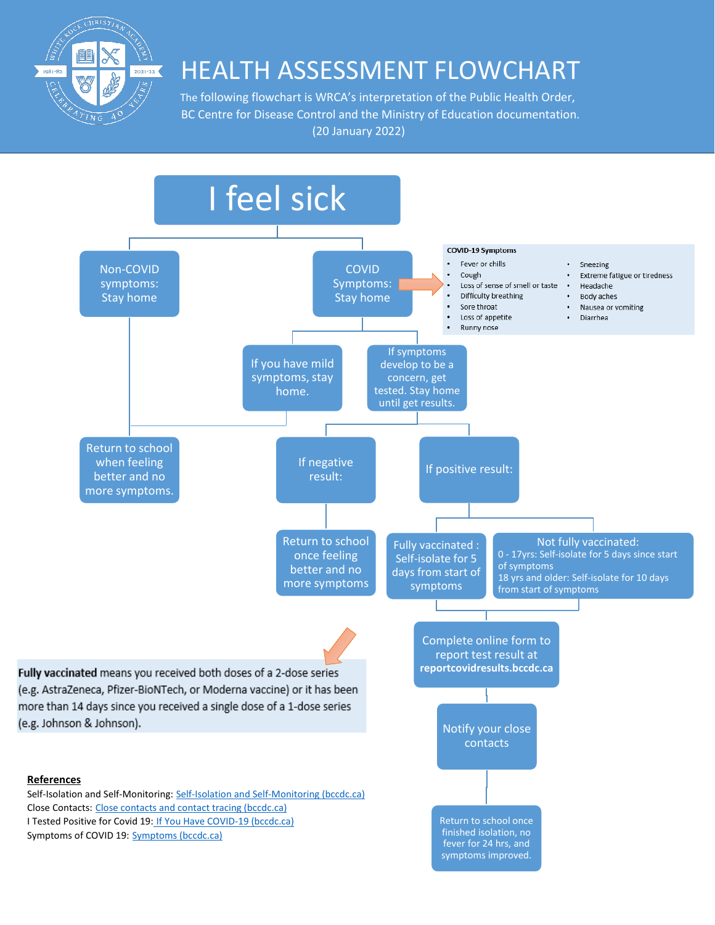

# $\mathcal{L}^{(2)}_{\text{2021--22}}$   $\blacksquare$  HEALTH ASSESSMENT FLOWCHART

 BC Centre for Disease Control and the Ministry of Education documentation. (20 January 2022)